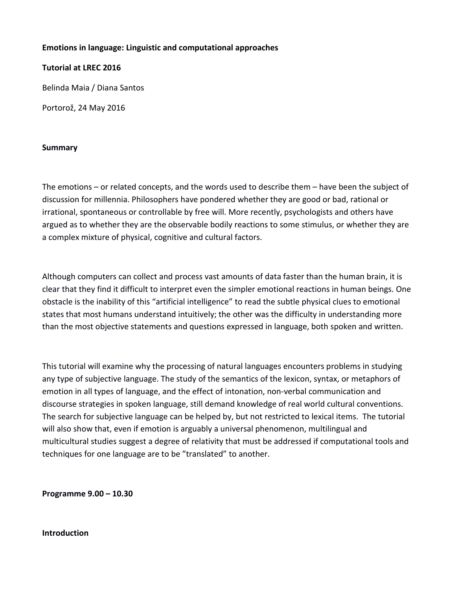### **Emotions in language: Linguistic and computational approaches**

**Tutorial at LREC 2016**

Belinda Maia / Diana Santos

Portorož, 24 May 2016

#### **Summary**

The emotions – or related concepts, and the words used to describe them – have been the subject of discussion for millennia. Philosophers have pondered whether they are good or bad, rational or irrational, spontaneous or controllable by free will. More recently, psychologists and others have argued as to whether they are the observable bodily reactions to some stimulus, or whether they are a complex mixture of physical, cognitive and cultural factors.

Although computers can collect and process vast amounts of data faster than the human brain, it is clear that they find it difficult to interpret even the simpler emotional reactions in human beings. One obstacle is the inability of this "artificial intelligence" to read the subtle physical clues to emotional states that most humans understand intuitively; the other was the difficulty in understanding more than the most objective statements and questions expressed in language, both spoken and written.

This tutorial will examine why the processing of natural languages encounters problems in studying any type of subjective language. The study of the semantics of the lexicon, syntax, or metaphors of emotion in all types of language, and the effect of intonation, non-verbal communication and discourse strategies in spoken language, still demand knowledge of real world cultural conventions. The search for subjective language can be helped by, but not restricted to lexical items. The tutorial will also show that, even if emotion is arguably a universal phenomenon, multilingual and multicultural studies suggest a degree of relativity that must be addressed if computational tools and techniques for one language are to be "translated" to another.

**Programme 9.00 – 10.30**

#### **Introduction**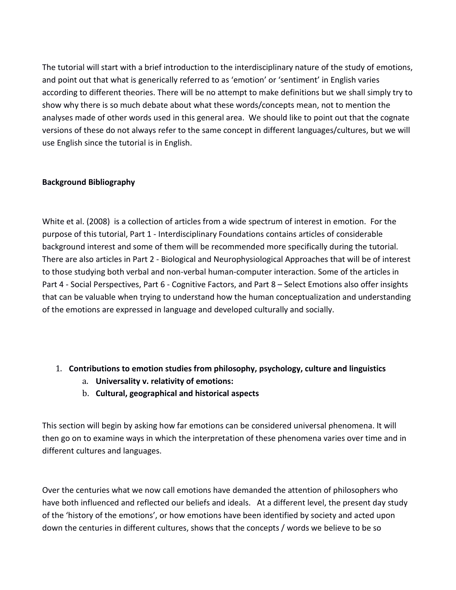The tutorial will start with a brief introduction to the interdisciplinary nature of the study of emotions, and point out that what is generically referred to as 'emotion' or 'sentiment' in English varies according to different theories. There will be no attempt to make definitions but we shall simply try to show why there is so much debate about what these words/concepts mean, not to mention the analyses made of other words used in this general area. We should like to point out that the cognate versions of these do not always refer to the same concept in different languages/cultures, but we will use English since the tutorial is in English.

### **Background Bibliography**

White et al. (2008) is a collection of articles from a wide spectrum of interest in emotion. For the purpose of this tutorial, Part 1 - Interdisciplinary Foundations contains articles of considerable background interest and some of them will be recommended more specifically during the tutorial. There are also articles in Part 2 - Biological and Neurophysiological Approaches that will be of interest to those studying both verbal and non-verbal human-computer interaction. Some of the articles in Part 4 - Social Perspectives, Part 6 - Cognitive Factors, and Part 8 – Select Emotions also offer insights that can be valuable when trying to understand how the human conceptualization and understanding of the emotions are expressed in language and developed culturally and socially.

## 1. **Contributions to emotion studies from philosophy, psychology, culture and linguistics**

- a. **Universality v. relativity of emotions:**
- b. **Cultural, geographical and historical aspects**

This section will begin by asking how far emotions can be considered universal phenomena. It will then go on to examine ways in which the interpretation of these phenomena varies over time and in different cultures and languages.

Over the centuries what we now call emotions have demanded the attention of philosophers who have both influenced and reflected our beliefs and ideals. At a different level, the present day study of the 'history of the emotions', or how emotions have been identified by society and acted upon down the centuries in different cultures, shows that the concepts / words we believe to be so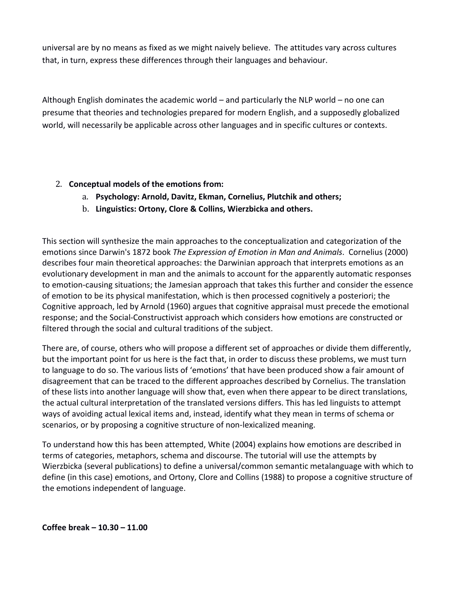universal are by no means as fixed as we might naively believe. The attitudes vary across cultures that, in turn, express these differences through their languages and behaviour.

Although English dominates the academic world – and particularly the NLP world – no one can presume that theories and technologies prepared for modern English, and a supposedly globalized world, will necessarily be applicable across other languages and in specific cultures or contexts.

## 2. **Conceptual models of the emotions from:**

- a. **Psychology: Arnold, Davitz, Ekman, Cornelius, Plutchik and others;**
- b. **Linguistics: Ortony, Clore & Collins, Wierzbicka and others.**

This section will synthesize the main approaches to the conceptualization and categorization of the emotions since Darwin's 1872 book *The Expression of Emotion in Man and Animals*. Cornelius (2000) describes four main theoretical approaches: the Darwinian approach that interprets emotions as an evolutionary development in man and the animals to account for the apparently automatic responses to emotion-causing situations; the Jamesian approach that takes this further and consider the essence of emotion to be its physical manifestation, which is then processed cognitively a posteriori; the Cognitive approach, led by Arnold (1960) argues that cognitive appraisal must precede the emotional response; and the Social-Constructivist approach which considers how emotions are constructed or filtered through the social and cultural traditions of the subject.

There are, of course, others who will propose a different set of approaches or divide them differently, but the important point for us here is the fact that, in order to discuss these problems, we must turn to language to do so. The various lists of 'emotions' that have been produced show a fair amount of disagreement that can be traced to the different approaches described by Cornelius. The translation of these lists into another language will show that, even when there appear to be direct translations, the actual cultural interpretation of the translated versions differs. This has led linguists to attempt ways of avoiding actual lexical items and, instead, identify what they mean in terms of schema or scenarios, or by proposing a cognitive structure of non-lexicalized meaning.

To understand how this has been attempted, White (2004) explains how emotions are described in terms of categories, metaphors, schema and discourse. The tutorial will use the attempts by Wierzbicka (several publications) to define a universal/common semantic metalanguage with which to define (in this case) emotions, and Ortony, Clore and Collins (1988) to propose a cognitive structure of the emotions independent of language.

**Coffee break – 10.30 – 11.00**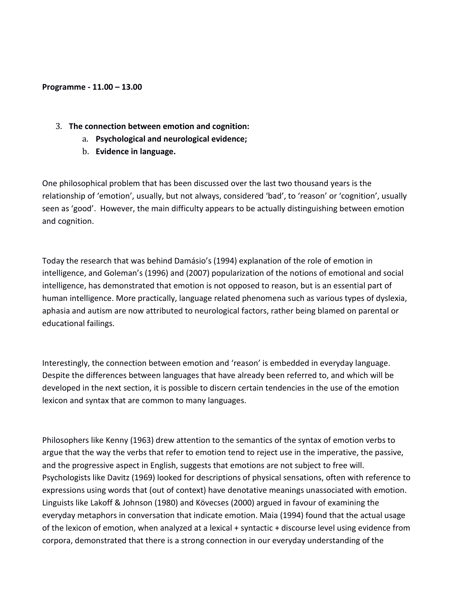#### **Programme - 11.00 – 13.00**

- 3. **The connection between emotion and cognition:**
	- a. **Psychological and neurological evidence;**
	- b. **Evidence in language.**

One philosophical problem that has been discussed over the last two thousand years is the relationship of 'emotion', usually, but not always, considered 'bad', to 'reason' or 'cognition', usually seen as 'good'. However, the main difficulty appears to be actually distinguishing between emotion and cognition.

Today the research that was behind Damásio's (1994) explanation of the role of emotion in intelligence, and Goleman's (1996) and (2007) popularization of the notions of emotional and social intelligence, has demonstrated that emotion is not opposed to reason, but is an essential part of human intelligence. More practically, language related phenomena such as various types of dyslexia, aphasia and autism are now attributed to neurological factors, rather being blamed on parental or educational failings.

Interestingly, the connection between emotion and 'reason' is embedded in everyday language. Despite the differences between languages that have already been referred to, and which will be developed in the next section, it is possible to discern certain tendencies in the use of the emotion lexicon and syntax that are common to many languages.

Philosophers like Kenny (1963) drew attention to the semantics of the syntax of emotion verbs to argue that the way the verbs that refer to emotion tend to reject use in the imperative, the passive, and the progressive aspect in English, suggests that emotions are not subject to free will. Psychologists like Davitz (1969) looked for descriptions of physical sensations, often with reference to expressions using words that (out of context) have denotative meanings unassociated with emotion. Linguists like Lakoff & Johnson (1980) and Kövecses (2000) argued in favour of examining the everyday metaphors in conversation that indicate emotion. Maia (1994) found that the actual usage of the lexicon of emotion, when analyzed at a lexical + syntactic + discourse level using evidence from corpora, demonstrated that there is a strong connection in our everyday understanding of the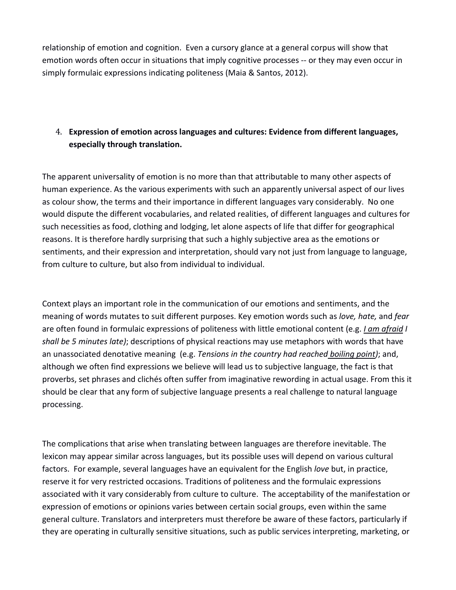relationship of emotion and cognition. Even a cursory glance at a general corpus will show that emotion words often occur in situations that imply cognitive processes -- or they may even occur in simply formulaic expressions indicating politeness (Maia & Santos, 2012).

# 4. **Expression of emotion across languages and cultures: Evidence from different languages, especially through translation.**

The apparent universality of emotion is no more than that attributable to many other aspects of human experience. As the various experiments with such an apparently universal aspect of our lives as colour show, the terms and their importance in different languages vary considerably. No one would dispute the different vocabularies, and related realities, of different languages and cultures for such necessities as food, clothing and lodging, let alone aspects of life that differ for geographical reasons. It is therefore hardly surprising that such a highly subjective area as the emotions or sentiments, and their expression and interpretation, should vary not just from language to language, from culture to culture, but also from individual to individual.

Context plays an important role in the communication of our emotions and sentiments, and the meaning of words mutates to suit different purposes. Key emotion words such as *love, hate,* and *fear* are often found in formulaic expressions of politeness with little emotional content (e.g. *I am afraid I shall be 5 minutes late)*; descriptions of physical reactions may use metaphors with words that have an unassociated denotative meaning (e.g. *Tensions in the country had reached boiling point)*; and, although we often find expressions we believe will lead us to subjective language, the fact is that proverbs, set phrases and clichés often suffer from imaginative rewording in actual usage. From this it should be clear that any form of subjective language presents a real challenge to natural language processing.

The complications that arise when translating between languages are therefore inevitable. The lexicon may appear similar across languages, but its possible uses will depend on various cultural factors. For example, several languages have an equivalent for the English *love* but, in practice, reserve it for very restricted occasions. Traditions of politeness and the formulaic expressions associated with it vary considerably from culture to culture. The acceptability of the manifestation or expression of emotions or opinions varies between certain social groups, even within the same general culture. Translators and interpreters must therefore be aware of these factors, particularly if they are operating in culturally sensitive situations, such as public services interpreting, marketing, or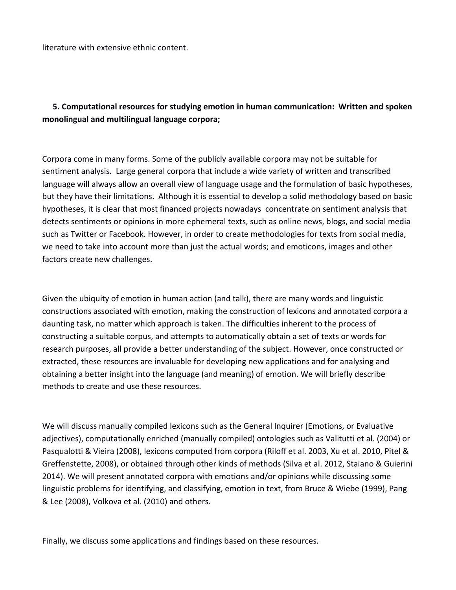literature with extensive ethnic content.

# **5. Computational resources for studying emotion in human communication: Written and spoken monolingual and multilingual language corpora;**

Corpora come in many forms. Some of the publicly available corpora may not be suitable for sentiment analysis. Large general corpora that include a wide variety of written and transcribed language will always allow an overall view of language usage and the formulation of basic hypotheses, but they have their limitations. Although it is essential to develop a solid methodology based on basic hypotheses, it is clear that most financed projects nowadays concentrate on sentiment analysis that detects sentiments or opinions in more ephemeral texts, such as online news, blogs, and social media such as Twitter or Facebook. However, in order to create methodologies for texts from social media, we need to take into account more than just the actual words; and emoticons, images and other factors create new challenges.

Given the ubiquity of emotion in human action (and talk), there are many words and linguistic constructions associated with emotion, making the construction of lexicons and annotated corpora a daunting task, no matter which approach is taken. The difficulties inherent to the process of constructing a suitable corpus, and attempts to automatically obtain a set of texts or words for research purposes, all provide a better understanding of the subject. However, once constructed or extracted, these resources are invaluable for developing new applications and for analysing and obtaining a better insight into the language (and meaning) of emotion. We will briefly describe methods to create and use these resources.

We will discuss manually compiled lexicons such as the General Inquirer (Emotions, or Evaluative adjectives), computationally enriched (manually compiled) ontologies such as Valitutti et al. (2004) or Pasqualotti & Vieira (2008), lexicons computed from corpora (Riloff et al. 2003, Xu et al. 2010, Pitel & Greffenstette, 2008), or obtained through other kinds of methods (Silva et al. 2012, Staiano & Guierini 2014). We will present annotated corpora with emotions and/or opinions while discussing some linguistic problems for identifying, and classifying, emotion in text, from Bruce & Wiebe (1999), Pang & Lee (2008), Volkova et al. (2010) and others.

Finally, we discuss some applications and findings based on these resources.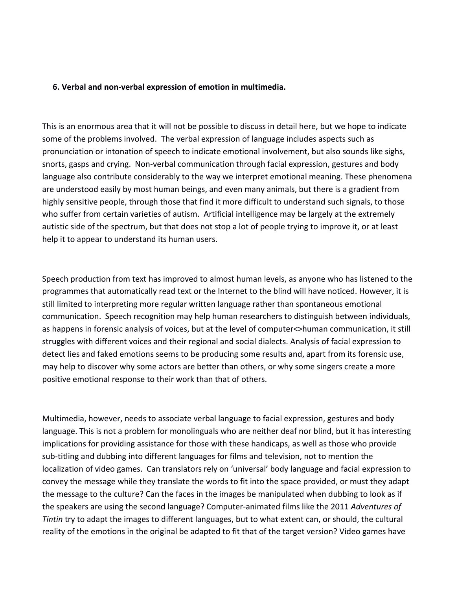#### **6. Verbal and non-verbal expression of emotion in multimedia.**

This is an enormous area that it will not be possible to discuss in detail here, but we hope to indicate some of the problems involved. The verbal expression of language includes aspects such as pronunciation or intonation of speech to indicate emotional involvement, but also sounds like sighs, snorts, gasps and crying. Non-verbal communication through facial expression, gestures and body language also contribute considerably to the way we interpret emotional meaning. These phenomena are understood easily by most human beings, and even many animals, but there is a gradient from highly sensitive people, through those that find it more difficult to understand such signals, to those who suffer from certain varieties of autism. Artificial intelligence may be largely at the extremely autistic side of the spectrum, but that does not stop a lot of people trying to improve it, or at least help it to appear to understand its human users.

Speech production from text has improved to almost human levels, as anyone who has listened to the programmes that automatically read text or the Internet to the blind will have noticed. However, it is still limited to interpreting more regular written language rather than spontaneous emotional communication. Speech recognition may help human researchers to distinguish between individuals, as happens in forensic analysis of voices, but at the level of computer<>human communication, it still struggles with different voices and their regional and social dialects. Analysis of facial expression to detect lies and faked emotions seems to be producing some results and, apart from its forensic use, may help to discover why some actors are better than others, or why some singers create a more positive emotional response to their work than that of others.

Multimedia, however, needs to associate verbal language to facial expression, gestures and body language. This is not a problem for monolinguals who are neither deaf nor blind, but it has interesting implications for providing assistance for those with these handicaps, as well as those who provide sub-titling and dubbing into different languages for films and television, not to mention the localization of video games. Can translators rely on 'universal' body language and facial expression to convey the message while they translate the words to fit into the space provided, or must they adapt the message to the culture? Can the faces in the images be manipulated when dubbing to look as if the speakers are using the second language? Computer-animated films like the 2011 *Adventures of Tintin* try to adapt the images to different languages, but to what extent can, or should, the cultural reality of the emotions in the original be adapted to fit that of the target version? Video games have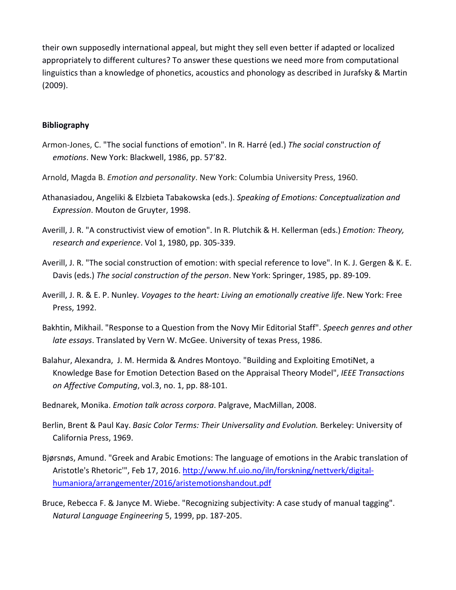their own supposedly international appeal, but might they sell even better if adapted or localized appropriately to different cultures? To answer these questions we need more from computational linguistics than a knowledge of phonetics, acoustics and phonology as described in Jurafsky & Martin (2009).

#### **Bibliography**

- Armon-Jones, C. "The social functions of emotion". In R. Harré (ed.) *The social construction of emotions*. New York: Blackwell, 1986, pp. 57'82.
- Arnold, Magda B. *Emotion and personality*. New York: Columbia University Press, 1960.
- Athanasiadou, Angeliki & Elzbieta Tabakowska (eds.). *Speaking of Emotions: Conceptualization and Expression*. Mouton de Gruyter, 1998.
- Averill, J. R. "A constructivist view of emotion". In R. Plutchik & H. Kellerman (eds.) *Emotion: Theory, research and experience*. Vol 1, 1980, pp. 305-339.
- Averill, J. R. "The social construction of emotion: with special reference to love". In K. J. Gergen & K. E. Davis (eds.) *The social construction of the person*. New York: Springer, 1985, pp. 89-109.
- Averill, J. R. & E. P. Nunley. *Voyages to the heart: Living an emotionally creative life*. New York: Free Press, 1992.
- Bakhtin, Mikhail. "Response to a Question from the Novy Mir Editorial Staff". *Speech genres and other late essays*. Translated by Vern W. McGee. University of texas Press, 1986.
- Balahur, Alexandra, J. M. Hermida & Andres Montoyo. "Building and Exploiting EmotiNet, a Knowledge Base for Emotion Detection Based on the Appraisal Theory Model", *IEEE Transactions on Affective Computing*, vol.3, no. 1, pp. 88-101.
- Bednarek, Monika. *Emotion talk across corpora*. Palgrave, MacMillan, 2008.
- Berlin, Brent & Paul Kay. *Basic Color Terms: Their Universality and Evolution.* Berkeley: University of California Press, 1969.
- Bjørsnøs, Amund. "Greek and Arabic Emotions: The language of emotions in the Arabic translation of Aristotle's Rhetoric'", Feb 17, 2016. [http://www.hf.uio.no/iln/forskning/nettverk/digital](http://www.hf.uio.no/iln/forskning/nettverk/digital-humaniora/arrangementer/2016/aristemotionshandout.pdf)[humaniora/arrangementer/2016/aristemotionshandout.pdf](http://www.hf.uio.no/iln/forskning/nettverk/digital-humaniora/arrangementer/2016/aristemotionshandout.pdf)
- Bruce, Rebecca F. & Janyce M. Wiebe. "Recognizing subjectivity: A case study of manual tagging". *Natural Language Engineering* 5, 1999, pp. 187-205.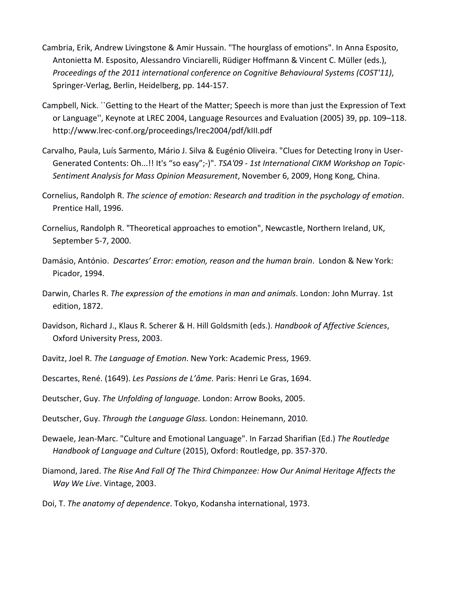- Cambria, Erik, Andrew Livingstone & Amir Hussain. "The hourglass of emotions". In Anna Esposito, Antonietta M. Esposito, Alessandro Vinciarelli, Rüdiger Hoffmann & Vincent C. Müller (eds.), *Proceedings of the 2011 international conference on Cognitive Behavioural Systems (COST'11)*, Springer-Verlag, Berlin, Heidelberg, pp. 144-157.
- Campbell, Nick. ``Getting to the Heart of the Matter; Speech is more than just the Expression of Text or Language'', Keynote at LREC 2004, Language Resources and Evaluation (2005) 39, pp. 109–118. http://www.lrec-conf.org/proceedings/lrec2004/pdf/kIII.pdf
- Carvalho, Paula, Luís Sarmento, Mário J. Silva & Eugénio Oliveira. "Clues for Detecting Irony in User-Generated Contents: Oh...!! It's "so easy";-)". *TSA'09 - 1st International CIKM Workshop on Topic-Sentiment Analysis for Mass Opinion Measurement*, November 6, 2009, Hong Kong, China.
- Cornelius, Randolph R. *The science of emotion: Research and tradition in the psychology of emotion*. Prentice Hall, 1996.
- Cornelius, Randolph R. "Theoretical approaches to emotion", Newcastle, Northern Ireland, UK, September 5-7, 2000.
- Damásio, António. *Descartes' Error: emotion, reason and the human brain*. London & New York: Picador, 1994.
- Darwin, Charles R. *The expression of the emotions in man and animals*. London: John Murray. 1st edition, 1872.
- Davidson, Richard J., Klaus R. Scherer & H. Hill Goldsmith (eds.). *Handbook of Affective Sciences*, Oxford University Press, 2003.
- Davitz, Joel R. *The Language of Emotion*. New York: Academic Press, 1969.
- Descartes, René. (1649). *Les Passions de L'âme.* Paris: Henri Le Gras, 1694.
- Deutscher, Guy. *The Unfolding of language.* London: Arrow Books, 2005.
- Deutscher, Guy. *Through the Language Glass.* London: Heinemann, 2010.
- Dewaele, Jean-Marc. "Culture and Emotional Language". In Farzad Sharifian (Ed.) *The Routledge Handbook of Language and Culture* (2015), Oxford: Routledge, pp. 357-370.
- Diamond, Jared. *The Rise And Fall Of The Third Chimpanzee: How Our Animal Heritage Affects the Way We Live*. Vintage, 2003.
- Doi, T. *The anatomy of dependence*. Tokyo, Kodansha international, 1973.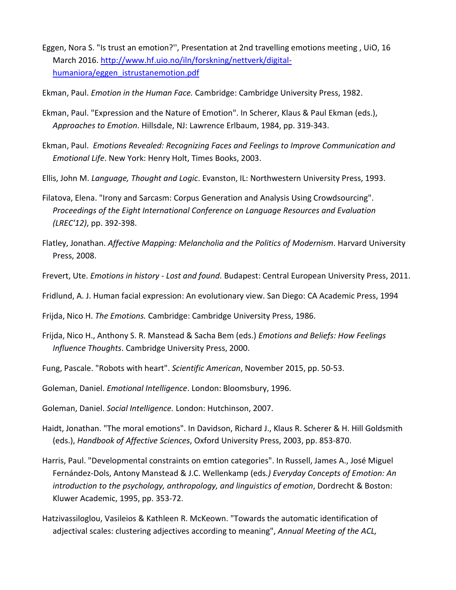- Eggen, Nora S. "Is trust an emotion?'', Presentation at 2nd travelling emotions meeting , UiO, 16 March 2016. [http://www.hf.uio.no/iln/forskning/nettverk/digital](http://www.hf.uio.no/iln/forskning/nettverk/digital-humaniora/eggen_istrustanemotion.pdf)[humaniora/eggen\\_istrustanemotion.pdf](http://www.hf.uio.no/iln/forskning/nettverk/digital-humaniora/eggen_istrustanemotion.pdf)
- Ekman, Paul. *Emotion in the Human Face.* Cambridge: Cambridge University Press, 1982.
- Ekman, Paul. "Expression and the Nature of Emotion". In Scherer, Klaus & Paul Ekman (eds.), *Approaches to Emotion*. Hillsdale, NJ: Lawrence Erlbaum, 1984, pp. 319-343.
- Ekman, Paul. *Emotions Revealed: Recognizing Faces and Feelings to Improve Communication and Emotional Life*. New York: Henry Holt, Times Books, 2003.
- Ellis, John M. *Language, Thought and Logic*. Evanston, IL: Northwestern University Press, 1993.
- Filatova, Elena. "Irony and Sarcasm: Corpus Generation and Analysis Using Crowdsourcing". *Proceedings of the Eight International Conference on Language Resources and Evaluation (LREC'12)*, pp. 392-398.
- Flatley, Jonathan. *Affective Mapping: Melancholia and the Politics of Modernism*. Harvard University Press, 2008.
- Frevert, Ute. *Emotions in history - Lost and found*. Budapest: Central European University Press, 2011.
- Fridlund, A. J. Human facial expression: An evolutionary view. San Diego: CA Academic Press, 1994
- Frijda, Nico H. *The Emotions.* Cambridge: Cambridge University Press, 1986.
- Frijda, Nico H., Anthony S. R. Manstead & Sacha Bem (eds.) *Emotions and Beliefs: How Feelings Influence Thoughts*. Cambridge University Press, 2000.
- Fung, Pascale. "Robots with heart". *Scientific American*, November 2015, pp. 50-53.
- Goleman, Daniel. *Emotional Intelligence*. London: Bloomsbury, 1996.
- Goleman, Daniel. *Social Intelligence.* London: Hutchinson, 2007.
- Haidt, Jonathan. "The moral emotions". In Davidson, Richard J., Klaus R. Scherer & H. Hill Goldsmith (eds.), *Handbook of Affective Sciences*, Oxford University Press, 2003, pp. 853-870.
- Harris, Paul. "Developmental constraints on emtion categories". In Russell, James A., José Miguel Fernández-Dols, Antony Manstead & J.C. Wellenkamp (eds*.) Everyday Concepts of Emotion: An introduction to the psychology, anthropology, and linguistics of emotion*, Dordrecht & Boston: Kluwer Academic, 1995, pp. 353-72.
- Hatzivassiloglou, Vasileios & Kathleen R. McKeown. "Towards the automatic identification of adjectival scales: clustering adjectives according to meaning", *Annual Meeting of the ACL,*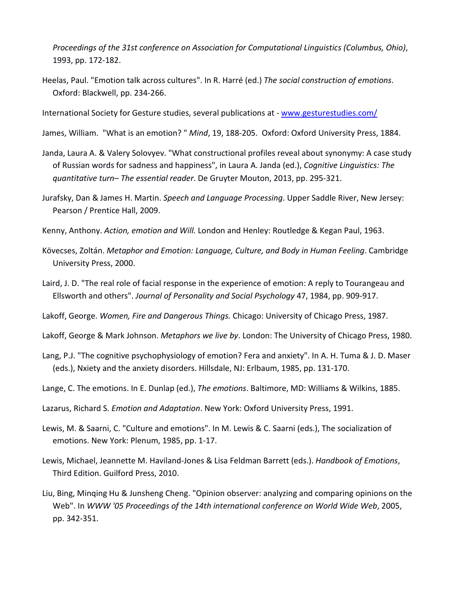*Proceedings of the 31st conference on Association for Computational Linguistics (Columbus, Ohio)*, 1993, pp. 172-182.

Heelas, Paul. "Emotion talk across cultures". In R. Harré (ed.) *The social construction of emotions*. Oxford: Blackwell, pp. 234-266.

International Society for Gesture studies, several publications at - [www.gesturestudies.com/](http://www.gesturestudies.com/)

- James, William. "What is an emotion? " *Mind*, 19, 188-205. Oxford: Oxford University Press, 1884.
- Janda, Laura A. & Valery Solovyev. "What constructional profiles reveal about synonymy: A case study of Russian words for sadness and happiness", in Laura A. Janda (ed.), *Cognitive Linguistics: The quantitative turn– The essential reader*. De Gruyter Mouton, 2013, pp. 295-321.
- Jurafsky, Dan & James H. Martin. *Speech and Language Processing*. Upper Saddle River, New Jersey: Pearson / Prentice Hall, 2009.
- Kenny, Anthony. *Action, emotion and Will.* London and Henley: Routledge & Kegan Paul, 1963.
- Kövecses, Zoltán. *Metaphor and Emotion: Language, Culture, and Body in Human Feeling*. Cambridge University Press, 2000.
- Laird, J. D. "The real role of facial response in the experience of emotion: A reply to Tourangeau and Ellsworth and others". *Journal of Personality and Social Psychology* 47, 1984, pp. 909-917.
- Lakoff, George. *Women, Fire and Dangerous Things.* Chicago: University of Chicago Press, 1987.
- Lakoff, George & Mark Johnson. *Metaphors we live by*. London: The University of Chicago Press, 1980.
- Lang, P.J. "The cognitive psychophysiology of emotion? Fera and anxiety". In A. H. Tuma & J. D. Maser (eds.), Nxiety and the anxiety disorders. Hillsdale, NJ: Erlbaum, 1985, pp. 131-170.
- Lange, C. The emotions. In E. Dunlap (ed.), *The emotions*. Baltimore, MD: Williams & Wilkins, 1885.
- Lazarus, Richard S. *Emotion and Adaptation*. New York: Oxford University Press, 1991.
- Lewis, M. & Saarni, C. "Culture and emotions". In M. Lewis & C. Saarni (eds.), The socialization of emotions. New York: Plenum, 1985, pp. 1-17.
- Lewis, Michael, Jeannette M. Haviland-Jones & Lisa Feldman Barrett (eds.). *Handbook of Emotions*, Third Edition. Guilford Press, 2010.
- Liu, Bing, Minqing Hu & Junsheng Cheng. "Opinion observer: analyzing and comparing opinions on the Web". In *WWW '05 Proceedings of the 14th international conference on World Wide Web*, 2005, pp. 342-351.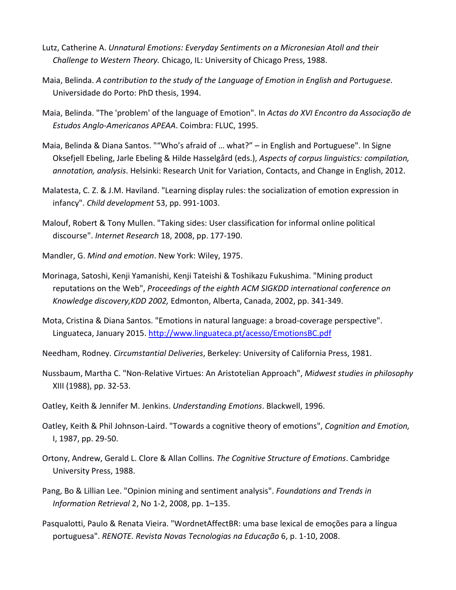- Lutz, Catherine A. *Unnatural Emotions: Everyday Sentiments on a Micronesian Atoll and their Challenge to Western Theory.* Chicago, IL: University of Chicago Press, 1988.
- Maia, Belinda. *A contribution to the study of the Language of Emotion in English and Portuguese*. Universidade do Porto: PhD thesis, 1994.
- Maia, Belinda. "The 'problem' of the language of Emotion". In *Actas do XVI Encontro da Associação de Estudos Anglo-Americanos APEAA*. Coimbra: FLUC, 1995.
- Maia, Belinda & Diana Santos. ""Who's afraid of … what?" in English and Portuguese". In Signe Oksefjell Ebeling, Jarle Ebeling & Hilde Hasselgård (eds.), *Aspects of corpus linguistics: compilation, annotation, analysis*. Helsinki: Research Unit for Variation, Contacts, and Change in English, 2012.
- Malatesta, C. Z. & J.M. Haviland. "Learning display rules: the socialization of emotion expression in infancy". *Child development* 53, pp. 991-1003.
- Malouf, Robert & Tony Mullen. "Taking sides: User classification for informal online political discourse". *Internet Research* 18, 2008, pp. 177-190.
- Mandler, G. *Mind and emotion*. New York: Wiley, 1975.
- Morinaga, Satoshi, Kenji Yamanishi, Kenji Tateishi & Toshikazu Fukushima. "Mining product reputations on the Web", *Proceedings of the eighth ACM SIGKDD international conference on Knowledge discovery,KDD 2002,* Edmonton, Alberta, Canada, 2002, pp. 341-349.
- Mota, Cristina & Diana Santos. "Emotions in natural language: a broad-coverage perspective". Linguateca, January 2015.<http://www.linguateca.pt/acesso/EmotionsBC.pdf>
- Needham, Rodney. *Circumstantial Deliveries*, Berkeley: University of California Press, 1981.
- Nussbaum, Martha C. "Non-Relative Virtues: An Aristotelian Approach", *Midwest studies in philosophy* XIII (1988), pp. 32-53.
- Oatley, Keith & Jennifer M. Jenkins. *Understanding Emotions*. Blackwell, 1996.
- Oatley, Keith & Phil Johnson-Laird. "Towards a cognitive theory of emotions", *Cognition and Emotion,*  I, 1987, pp. 29-50.
- Ortony, Andrew, Gerald L. Clore & Allan Collins. *The Cognitive Structure of Emotions*. Cambridge University Press, 1988.
- Pang, Bo & Lillian Lee. "Opinion mining and sentiment analysis". *Foundations and Trends in Information Retrieval* 2, No 1-2, 2008, pp. 1–135.
- Pasqualotti, Paulo & Renata Vieira. "WordnetAffectBR: uma base lexical de emoções para a língua portuguesa". *RENOTE. Revista Novas Tecnologias na Educação* 6, p. 1-10, 2008.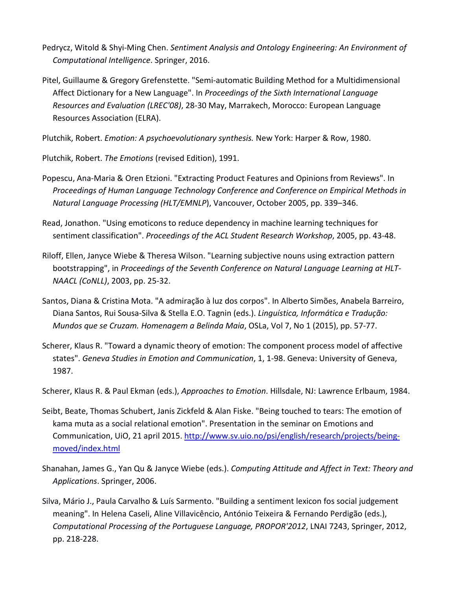- Pedrycz, Witold & Shyi-Ming Chen. *Sentiment Analysis and Ontology Engineering: An Environment of Computational Intelligence*. Springer, 2016.
- Pitel, Guillaume & Gregory Grefenstette. "Semi-automatic Building Method for a Multidimensional Affect Dictionary for a New Language". In *Proceedings of the Sixth International Language Resources and Evaluation (LREC'08)*, 28-30 May, Marrakech, Morocco: European Language Resources Association (ELRA).

Plutchik, Robert. *Emotion: A psychoevolutionary synthesis.* New York: Harper & Row, 1980.

Plutchik, Robert. *The Emotions* (revised Edition), 1991.

- Popescu, Ana-Maria & Oren Etzioni. "Extracting Product Features and Opinions from Reviews". In *Proceedings of Human Language Technology Conference and Conference on Empirical Methods in Natural Language Processing (HLT/EMNLP*), Vancouver, October 2005, pp. 339–346.
- Read, Jonathon. "Using emoticons to reduce dependency in machine learning techniques for sentiment classification". *Proceedings of the ACL Student Research Workshop*, 2005, pp. 43-48.
- Riloff, Ellen, Janyce Wiebe & Theresa Wilson. "Learning subjective nouns using extraction pattern bootstrapping", in *Proceedings of the Seventh Conference on Natural Language Learning at HLT-NAACL (CoNLL)*, 2003, pp. 25-32.
- Santos, Diana & Cristina Mota. "A admiração à luz dos corpos". In Alberto Simões, Anabela Barreiro, Diana Santos, Rui Sousa-Silva & Stella E.O. Tagnin (eds.). *Linguística, Informática e Tradução: Mundos que se Cruzam. Homenagem a Belinda Maia*, OSLa, Vol 7, No 1 (2015), pp. 57-77.
- Scherer, Klaus R. "Toward a dynamic theory of emotion: The component process model of affective states". *Geneva Studies in Emotion and Communication*, 1, 1-98. Geneva: University of Geneva, 1987.

Scherer, Klaus R. & Paul Ekman (eds.), *Approaches to Emotion*. Hillsdale, NJ: Lawrence Erlbaum, 1984.

- Seibt, Beate, Thomas Schubert, Janis Zickfeld & Alan Fiske. "Being touched to tears: The emotion of kama muta as a social relational emotion". Presentation in the seminar on Emotions and Communication, UiO, 21 april 2015. [http://www.sv.uio.no/psi/english/research/projects/being](http://www.sv.uio.no/psi/english/research/projects/being-moved/index.html)[moved/index.html](http://www.sv.uio.no/psi/english/research/projects/being-moved/index.html)
- Shanahan, James G., Yan Qu & Janyce Wiebe (eds.). *Computing Attitude and Affect in Text: Theory and Applications*. Springer, 2006.
- Silva, Mário J., Paula Carvalho & Luís Sarmento. "Building a sentiment lexicon fos social judgement meaning". In Helena Caseli, Aline Villavicêncio, António Teixeira & Fernando Perdigão (eds.), *Computational Processing of the Portuguese Language, PROPOR'2012*, LNAI 7243, Springer, 2012, pp. 218-228.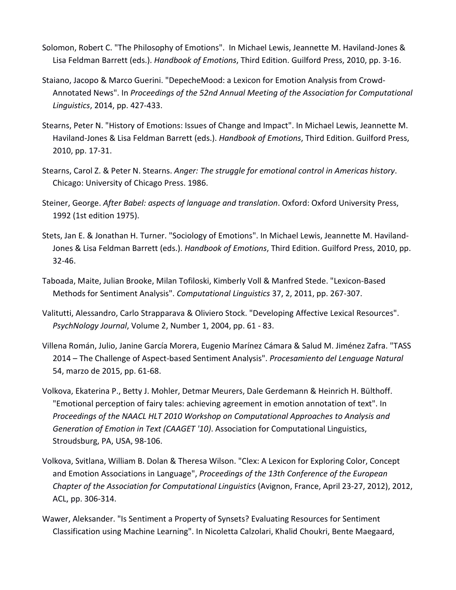- Solomon, Robert C. "The Philosophy of Emotions". In Michael Lewis, Jeannette M. Haviland-Jones & Lisa Feldman Barrett (eds.). *Handbook of Emotions*, Third Edition. Guilford Press, 2010, pp. 3-16.
- Staiano, Jacopo & Marco Guerini. "DepecheMood: a Lexicon for Emotion Analysis from Crowd-Annotated News". In *Proceedings of the 52nd Annual Meeting of the Association for Computational Linguistics*, 2014, pp. 427-433.
- Stearns, Peter N. "History of Emotions: Issues of Change and Impact". In Michael Lewis, Jeannette M. Haviland-Jones & Lisa Feldman Barrett (eds.). *Handbook of Emotions*, Third Edition. Guilford Press, 2010, pp. 17-31.
- Stearns, Carol Z. & Peter N. Stearns. *Anger: The struggle for emotional control in Americas history*. Chicago: University of Chicago Press. 1986.
- Steiner, George. *After Babel: aspects of language and translation*. Oxford: Oxford University Press, 1992 (1st edition 1975).
- Stets, Jan E. & Jonathan H. Turner. "Sociology of Emotions". In Michael Lewis, Jeannette M. Haviland-Jones & Lisa Feldman Barrett (eds.). *Handbook of Emotions*, Third Edition. Guilford Press, 2010, pp. 32-46.
- Taboada, Maite, Julian Brooke, Milan Tofiloski, Kimberly Voll & Manfred Stede. "Lexicon-Based Methods for Sentiment Analysis". *Computational Linguistics* 37, 2, 2011, pp. 267-307.
- Valitutti, Alessandro, Carlo Strapparava & Oliviero Stock. "Developing Affective Lexical Resources". *PsychNology Journal*, Volume 2, Number 1, 2004, pp. 61 - 83.
- Villena Román, Julio, Janine García Morera, Eugenio Marínez Cámara & Salud M. Jiménez Zafra. "TASS 2014 – The Challenge of Aspect-based Sentiment Analysis". *Procesamiento del Lenguage Natural* 54, marzo de 2015, pp. 61-68.
- Volkova, Ekaterina P., Betty J. Mohler, Detmar Meurers, Dale Gerdemann & Heinrich H. Bülthoff. "Emotional perception of fairy tales: achieving agreement in emotion annotation of text". In *Proceedings of the NAACL HLT 2010 Workshop on Computational Approaches to Analysis and Generation of Emotion in Text (CAAGET '10)*. Association for Computational Linguistics, Stroudsburg, PA, USA, 98-106.
- Volkova, Svitlana, William B. Dolan & Theresa Wilson. "Clex: A Lexicon for Exploring Color, Concept and Emotion Associations in Language", *Proceedings of the 13th Conference of the European Chapter of the Association for Computational Linguistics* (Avignon, France, April 23-27, 2012), 2012, ACL, pp. 306-314.
- Wawer, Aleksander. "Is Sentiment a Property of Synsets? Evaluating Resources for Sentiment Classification using Machine Learning". In Nicoletta Calzolari, Khalid Choukri, Bente Maegaard,